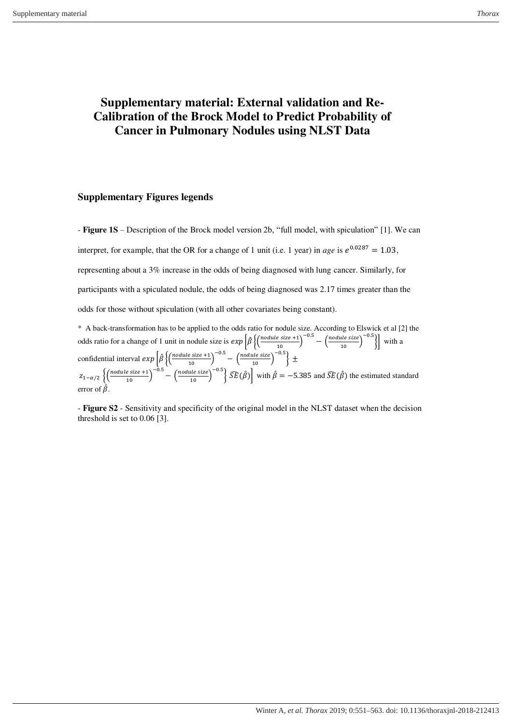## **Supplementary material: External validation and Re-Calibration of the Brock Model to Predict Probability of Cancer in Pulmonary Nodules using NLST Data**

## **Supplementary Figures legends**

- **Figure 1S** – Description of the Brock model version 2b, "full model, with spiculation" [1]. We can interpret, for example, that the OR for a change of 1 unit (i.e. 1 year) in *age* is  $e^{0.0287} = 1.03$ , representing about a 3% increase in the odds of being diagnosed with lung cancer. Similarly, for participants with a spiculated nodule, the odds of being diagnosed was 2.17 times greater than the odds for those without spiculation (with all other covariates being constant). \* A back-transformation has to be applied to the odds ratio for nodule size. According to Elswick et al [2] the

odds ratio for a change of 1 unit in nodule size is  $exp\left[\hat{\beta}\left\{\left(\frac{module size +1}{10}\right)^{-0.5} - \left(\frac{module size}{10}\right)^{-0.5}\right\}\right]$  with a confidential interval  $exp\left[\hat{\beta}\left\{\left(\frac{module\ size+1}{10}\right)^{-0.5}-\left(\frac{module\ size}{10}\right)^{-0.5}\right\}\pm\right]$  $z_{1-\alpha/2}$   $\left\{\left(\frac{\text{module size}+1}{10}\right)^{-0.5}-\left(\frac{\text{module size}}{10}\right)^{-0.5}\right\}\widehat{SE}(\hat{\beta})\right\}$  with  $\hat{\beta}=-5.385$  and  $\widehat{SE}(\hat{\beta})$  the estimated standard error of  $\hat{\beta}$ .

- **Figure S2** - Sensitivity and specificity of the original model in the NLST dataset when the decision threshold is set to 0.06 [3].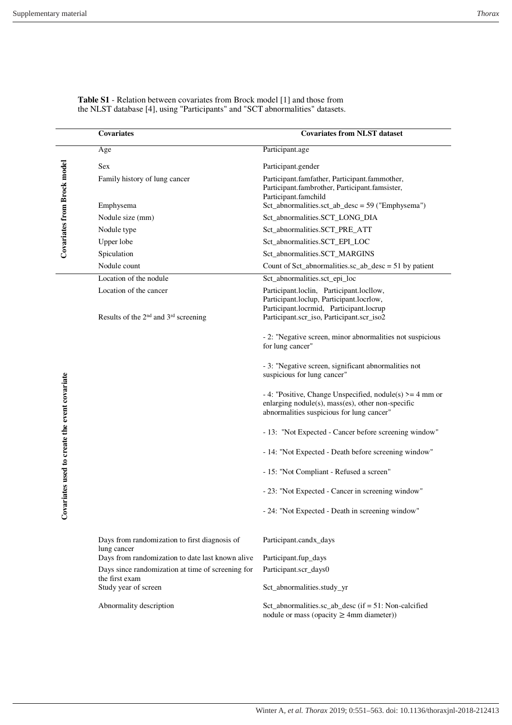|                                               | <b>Covariates from NLST dataset</b><br>Covariates                                      |                                                                                                                                                                              |  |  |
|-----------------------------------------------|----------------------------------------------------------------------------------------|------------------------------------------------------------------------------------------------------------------------------------------------------------------------------|--|--|
|                                               | Age                                                                                    | Participant.age                                                                                                                                                              |  |  |
| <b>Covariates from Brock model</b>            | <b>Sex</b>                                                                             | Participant.gender                                                                                                                                                           |  |  |
|                                               | Family history of lung cancer                                                          | Participant.famfather, Participant.fammother,<br>Participant.fambrother, Participant.famsister,<br>Participant.famchild                                                      |  |  |
|                                               | Emphysema                                                                              | $Set\_abnormalities.set\_ab\_desc = 59$ ("Emphysema")                                                                                                                        |  |  |
|                                               | Nodule size (mm)                                                                       | Sct_abnormalities.SCT_LONG_DIA                                                                                                                                               |  |  |
|                                               | Nodule type                                                                            | Sct_abnormalities.SCT_PRE_ATT                                                                                                                                                |  |  |
|                                               | Upper lobe                                                                             | Sct_abnormalities.SCT_EPI_LOC                                                                                                                                                |  |  |
|                                               | Spiculation                                                                            | Sct_abnormalities.SCT_MARGINS                                                                                                                                                |  |  |
|                                               | Nodule count                                                                           | Count of Sct_abnormalities.sc_ab_desc = $51$ by patient                                                                                                                      |  |  |
|                                               | Location of the nodule                                                                 | Sct_abnormalities.sct_epi_loc                                                                                                                                                |  |  |
|                                               | Location of the cancer<br>Results of the 2 <sup>nd</sup> and 3 <sup>rd</sup> screening | Participant.loclin, Participant.locllow,<br>Participant.loclup, Participant.locrlow,<br>Participant.locrmid, Participant.locrup<br>Participant.scr_iso, Participant.scr_iso2 |  |  |
|                                               |                                                                                        | - 2: "Negative screen, minor abnormalities not suspicious<br>for lung cancer"                                                                                                |  |  |
|                                               |                                                                                        | - 3: "Negative screen, significant abnormalities not<br>suspicious for lung cancer"                                                                                          |  |  |
| Covariates used to create the event covariate |                                                                                        | - 4: "Positive, Change Unspecified, nodule(s) $>= 4$ mm or<br>enlarging nodule(s), mass(es), other non-specific<br>abnormalities suspicious for lung cancer"                 |  |  |
|                                               |                                                                                        | - 13: "Not Expected - Cancer before screening window"                                                                                                                        |  |  |
|                                               |                                                                                        | - 14: "Not Expected - Death before screening window"                                                                                                                         |  |  |
|                                               |                                                                                        | - 15: "Not Compliant - Refused a screen"                                                                                                                                     |  |  |
|                                               |                                                                                        | - 23: "Not Expected - Cancer in screening window"                                                                                                                            |  |  |
|                                               |                                                                                        | - 24: "Not Expected - Death in screening window"                                                                                                                             |  |  |
|                                               | Days from randomization to first diagnosis of<br>lung cancer                           | Participant.candx_days                                                                                                                                                       |  |  |
|                                               | Days from randomization to date last known alive                                       | Participant.fup_days                                                                                                                                                         |  |  |
|                                               | Days since randomization at time of screening for<br>the first exam                    | Participant.scr_days0                                                                                                                                                        |  |  |
|                                               | Study year of screen                                                                   | Sct_abnormalities.study_yr                                                                                                                                                   |  |  |
|                                               | Abnormality description                                                                | Sct_abnormalities.sc_ab_desc (if = 51: Non-calcified<br>nodule or mass (opacity $\geq$ 4mm diameter))                                                                        |  |  |

**Table S1** - Relation between covariates from Brock model [1] and those from the NLST database [4], using "Participants" and "SCT abnormalities" datasets.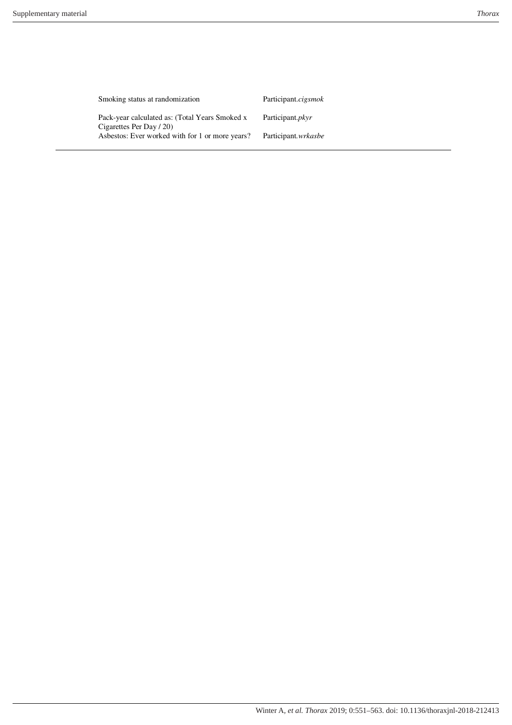| Smoking status at randomization                                            | Participant.cigsmok |
|----------------------------------------------------------------------------|---------------------|
| Pack-year calculated as: (Total Years Smoked x<br>Cigarettes Per Day / 20) | Participant.pkyr    |
| Asbestos: Ever worked with for 1 or more years?                            | Participant.wrkasbe |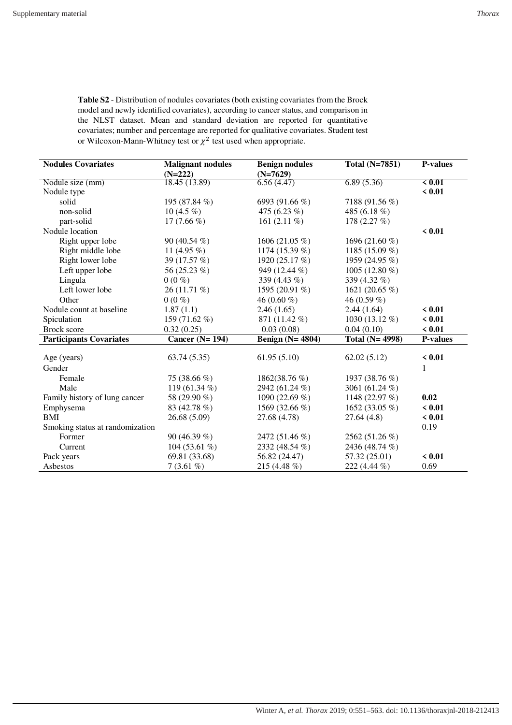| <b>Table S2</b> - Distribution of nodules covariates (both existing covariates from the Brock |  |  |  |  |  |  |  |
|-----------------------------------------------------------------------------------------------|--|--|--|--|--|--|--|
| model and newly identified covariates), according to cancer status, and comparison in         |  |  |  |  |  |  |  |
| the NLST dataset. Mean and standard deviation are reported for quantitative                   |  |  |  |  |  |  |  |
| covariates; number and percentage are reported for qualitative covariates. Student test       |  |  |  |  |  |  |  |
| or Wilcoxon-Mann-Whitney test or $\chi^2$ test used when appropriate.                         |  |  |  |  |  |  |  |
|                                                                                               |  |  |  |  |  |  |  |

| <b>Nodules Covariates</b>       | <b>Malignant nodules</b> | <b>Benign nodules</b> | <b>Total (N=7851)</b> | <b>P-values</b> |
|---------------------------------|--------------------------|-----------------------|-----------------------|-----------------|
|                                 | $(N=222)$                | $(N=7629)$            |                       |                 |
| Nodule size (mm)                | 18.45 (13.89)            | 6.56(4.47)            | 6.89(5.36)            | $\le 0.01$      |
| Nodule type                     |                          |                       |                       | < 0.01          |
| solid                           | 195 (87.84 %)            | 6993 (91.66 %)        | 7188 (91.56 %)        |                 |
| non-solid                       | 10 $(4.5\%)$             | 475 (6.23 %)          | 485 (6.18 %)          |                 |
| part-solid                      | 17 $(7.66\%)$            | 161 $(2.11\%)$        | 178 $(2.27\%)$        |                 |
| Nodule location                 |                          |                       |                       | < 0.01          |
| Right upper lobe                | 90 $(40.54\% )$          | 1606 (21.05 %)        | 1696 (21.60 %)        |                 |
| Right middle lobe               | 11 $(4.95\%)$            | 1174 (15.39 %)        | 1185 (15.09 %)        |                 |
| Right lower lobe                | 39 (17.57 %)             | 1920 (25.17 %)        | 1959 (24.95 %)        |                 |
| Left upper lobe                 | 56 (25.23 %)             | 949 (12.44 %)         | 1005 (12.80 %)        |                 |
| Lingula                         | $0(0\%)$                 | 339 (4.43 %)          | 339 (4.32 %)          |                 |
| Left lower lobe                 | 26 (11.71 %)             | 1595 (20.91 %)        | 1621 (20.65 %)        |                 |
| Other                           | $0(0\%)$                 | 46 $(0.60\%$          | 46 (0.59 %)           |                 |
| Nodule count at baseline        | 1.87(1.1)                | 2.46(1.65)            | 2.44(1.64)            | < 0.01          |
| Spiculation                     | 159 (71.62 %)            | 871 (11.42 %)         | 1030 (13.12 %)        | < 0.01          |
| Brock score                     | 0.32(0.25)               | 0.03(0.08)            | 0.04(0.10)            | < 0.01          |
| <b>Participants Covariates</b>  | Cancer $(N=194)$         | Benign $(N=4804)$     | Total $(N=4998)$      | <b>P-values</b> |
|                                 |                          |                       |                       |                 |
| Age (years)                     | 63.74(5.35)              | 61.95(5.10)           | 62.02(5.12)           | < 0.01          |
| Gender                          |                          |                       |                       | 1               |
| Female                          | 75 (38.66 %)             | 1862(38.76 %)         | 1937 (38.76 %)        |                 |
| Male                            | 119 (61.34 %)            | 2942 (61.24 %)        | 3061 (61.24 %)        |                 |
| Family history of lung cancer   | 58 (29.90 %)             | 1090 (22.69 %)        | 1148 (22.97 %)        | 0.02            |
| Emphysema                       | 83 (42.78 %)             | 1569 (32.66 %)        | 1652 (33.05 %)        | < 0.01          |
| BMI                             | 26.68 (5.09)             | 27.68 (4.78)          | 27.64(4.8)            | < 0.01          |
| Smoking status at randomization |                          |                       |                       | 0.19            |
| Former                          | 90 (46.39 %)             | 2472 (51.46 %)        | 2562 (51.26 %)        |                 |
| Current                         | 104 (53.61 %)            | 2332 (48.54 %)        | 2436 (48.74 %)        |                 |
| Pack years                      | 69.81 (33.68)            | 56.82 (24.47)         | 57.32 (25.01)         | < 0.01          |
| Asbestos                        | $7(3.61\%)$              | 215 (4.48 %)          | 222 (4.44 %)          | 0.69            |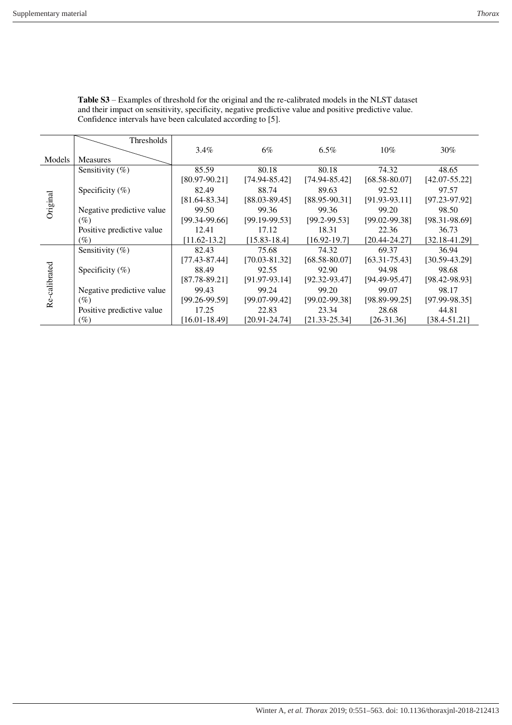|               | Thresholds                |                   |                   |                   |                   |                   |
|---------------|---------------------------|-------------------|-------------------|-------------------|-------------------|-------------------|
|               |                           | $3.4\%$           | 6%                | $6.5\%$           | $10\%$            | 30%               |
| Models        | <b>Measures</b>           |                   |                   |                   |                   |                   |
| Original      | Sensitivity $(\% )$       | 85.59             | 80.18             | 80.18             | 74.32             | 48.65             |
|               |                           | $[80.97 - 90.21]$ | $[74.94 - 85.42]$ | $[74.94 - 85.42]$ | [68.58-80.07]     | $[42.07 - 55.22]$ |
|               | Specificity $(\% )$       | 82.49             | 88.74             | 89.63             | 92.52             | 97.57             |
|               |                           | $[81.64 - 83.34]$ | $[88.03 - 89.45]$ | $[88.95 - 90.31]$ | $[91.93-93.11]$   | $[97.23 - 97.92]$ |
|               | Negative predictive value | 99.50             | 99.36             | 99.36             | 99.20             | 98.50             |
|               | $(\%)$                    | $[99.34-99.66]$   | $[99.19-99.53]$   | $[99.2 - 99.53]$  | $[99.02 - 99.38]$ | $[98.31 - 98.69]$ |
|               | Positive predictive value | 12.41             | 17.12             | 18.31             | 22.36             | 36.73             |
|               | (%)                       | $[11.62 - 13.2]$  | $[15.83 - 18.4]$  | $[16.92 - 19.7]$  | [20.44-24.27]     | $[32.18 - 41.29]$ |
|               | Sensitivity $(\%)$        | 82.43             | 75.68             | 74.32             | 69.37             | 36.94             |
|               |                           | $[77.43 - 87.44]$ | $[70.03 - 81.32]$ | $[68.58 - 80.07]$ | $[63.31 - 75.43]$ | $[30.59 - 43.29]$ |
|               | Specificity $(\% )$       | 88.49             | 92.55             | 92.90             | 94.98             | 98.68             |
| Re-calibrated |                           | $[87.78 - 89.21]$ | $[91.97-93.14]$   | $[92.32 - 93.47]$ | [94.49-95.47]     | $[98.42 - 98.93]$ |
|               | Negative predictive value | 99.43             | 99.24             | 99.20             | 99.07             | 98.17             |
|               | $(\%)$                    | $[99.26 - 99.59]$ | $[99.07-99.42]$   | $[99.02 - 99.38]$ | $[98.89-99.25]$   | $[97.99-98.35]$   |
|               | Positive predictive value | 17.25             | 22.83             | 23.34             | 28.68             | 44.81             |
|               | (%)                       | [16.01-18.49]     | $[20.91 - 24.74]$ | $[21.33 - 25.34]$ | $[26-31.36]$      | [38.4-51.21]      |

**Table S3** – Examples of threshold for the original and the re-calibrated models in the NLST dataset and their impact on sensitivity, specificity, negative predictive value and positive predictive value. Confidence intervals have been calculated according to [5].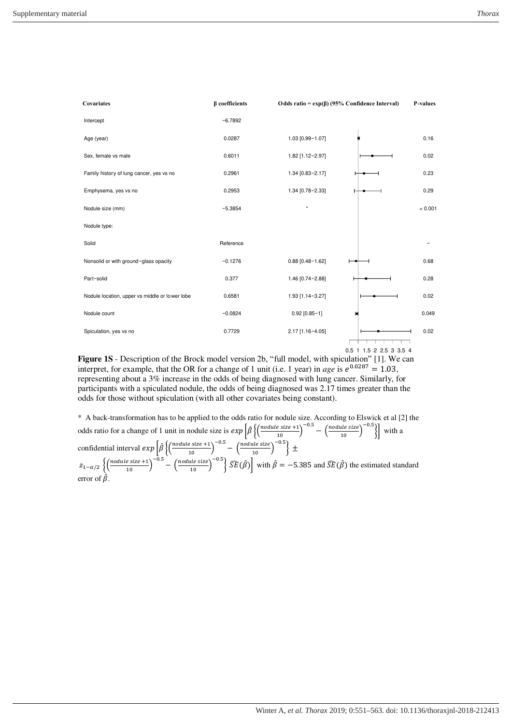

**Figure 1S** - Description of the Brock model version 2b, "full model, with spiculation" [1]. We can interpret, for example, that the OR for a change of 1 unit (i.e. 1 year) in *age* is  $e^{0.0287} = 1.03$ , representing about a 3% increase in the odds of being diagnosed with lung cancer. Similarly, for participants with a spiculated nodule, the odds of being diagnosed was 2.17 times greater than the odds for those without spiculation (with all other covariates being constant).

\* A back-transformation has to be applied to the odds ratio for nodule size. According to Elswick et al [2] the odds ratio for a change of 1 unit in nodule size is  $exp\left[\hat{\beta}\left\{\left(\frac{module size +1}{10}\right)^{-0.5} - \left(\frac{module size}{10}\right)^{-0.5}\right\}\right]$  with a confidential interval  $exp\left[\hat{\beta}\left\{\left(\frac{module\ size+1}{10}\right)^{-0.5}-\left(\frac{module\ size}{10}\right)^{-0.5}\right\}\pm\right]$  $z_{1-\alpha/2}\left\{\left(\frac{nodule\ size+1}{10}\right)^{-0.5}-\left(\frac{nodule\ size}{10}\right)^{-0.5}\right\}\widehat{SE}(\hat{\beta})\right\}$  with  $\hat{\beta}=-5.385$  and  $\widehat{SE}(\hat{\beta})$  the estimated standard error of  $\hat{\beta}$ .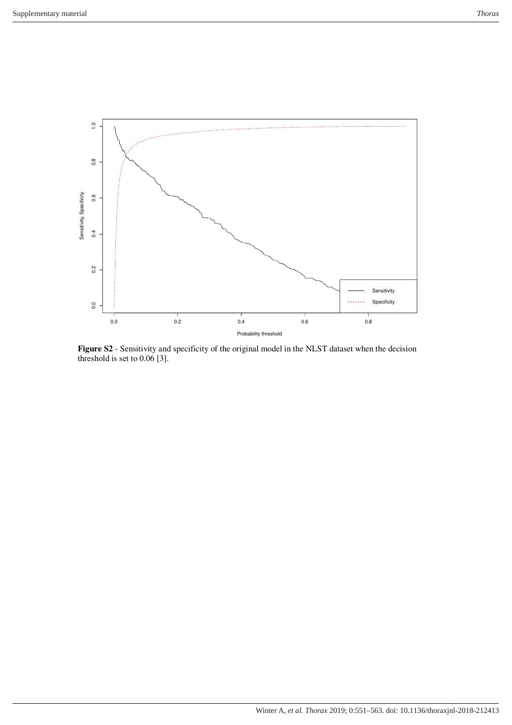

**Figure S2** - Sensitivity and specificity of the original model in the NLST dataset when the decision threshold is set to 0.06 [3].